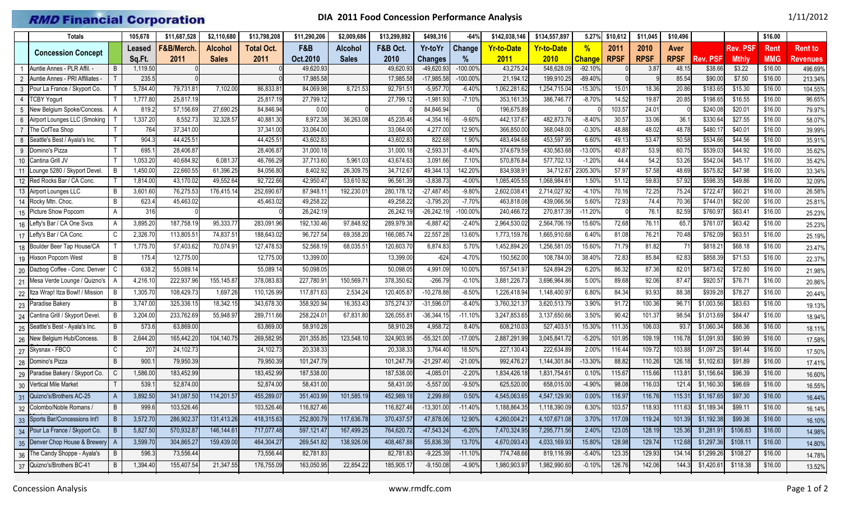## **RMD Financial Corporation**

## **DIA 2011 Food Concession Performance Analysis** 1/11/2012

|                 | <b>Totals</b>                      |                | 105,678          | \$11.687.528           | \$2,110,680    | \$13,798,208           | \$11,290,206           | \$2,009,686    | \$13,299,892           | \$498,316               | $-64%$            | \$142,038,146            | \$134,557,897           | 5.27%                 | \$10,612      | \$11,045     | \$10,496      |                    |                    | \$16.00            |                  |
|-----------------|------------------------------------|----------------|------------------|------------------------|----------------|------------------------|------------------------|----------------|------------------------|-------------------------|-------------------|--------------------------|-------------------------|-----------------------|---------------|--------------|---------------|--------------------|--------------------|--------------------|------------------|
|                 |                                    |                | Leased           | F&B/Merch              | <b>Alcohol</b> | <b>Total Oct.</b>      | F&B                    | <b>Alcohol</b> | F&B Oct.               | Yr-toYr                 | <b>Change</b>     | <b>Yr-to-Date</b>        | <b>Yr-to-Date</b>       | $\frac{0}{2}$         | 2011          | 2010         | Aver          |                    | Rev. PSF           | Rent               | <b>Rent to</b>   |
|                 | <b>Concession Concept</b>          |                | Sq.Ft.           | 2011                   | <b>Sales</b>   | 2011                   | Oct.2010               | <b>Sales</b>   | 2010                   | <b>Changes</b>          | %                 | 2011                     | 2010                    | <b>Change</b>         | <b>RPSF</b>   | <b>RPSF</b>  | <b>RPSF</b>   | Rev. PSF           | <b>Mthly</b>       | <b>MMG</b>         | Revenues         |
|                 | Auntie Annes - PLR Affil.          | B              | 1,119.50         |                        |                |                        | 49,620.9               |                | 49,620.9               | -49,620.93              | $-100.00$         | 43,275.24                | 548,628.0               | $-92.10%$             |               | 3.87         | 48.15         | \$38.66            | \$3.22             | \$16.00            | 496.69%          |
| 2               | Auntie Annes - PRI Affiliates -    |                | 235.5            |                        |                |                        | 17,985.58              |                | 17,985.58              | $-17,985.58$            | $-100.00%$        | 21,194.1                 | 199,910.2               | $-89.40%$             |               |              | 85.54         | \$90.0             | \$7.50             | \$16.00            | 213.34%          |
| 3               | Pour La France / Skyport Co.       |                | 5,784.40         | 79,731.81              | 7,102.00       | 86,833.81              | 84,069.98              | 8,721.53       | 92,791.51              | $-5,957.70$             | $-6.40%$          | 1,062,281.62             | 1,254,715.04            | $-15.30%$             | 15.01         | 18.36        | 20.86         | \$183.65           | \$15.30            | \$16.00            | 104.55%          |
|                 | <b>TCBY Yogurt</b>                 |                | 1,777.80         | 25,817.19              |                | 25,817.19              | 27,799.12              |                | 27,799.1               | $-1,981.93$             | $-7.10%$          | 353,161.35               | 386,746.77              | $-8.70%$              | 14.52         | 19.87        | 20.85         | \$198.65           | \$16.55            | \$16.00            | 96.65%           |
|                 | New Belgium Spoke/Concess.         |                | 819.2            | 57,156.69              | 27,690.25      | 84,846.94              | 0.00                   |                |                        | 84,846.94               |                   | 196,675.89               |                         |                       | 103.57        | 24.01        |               | \$240.0            | \$20.01            | \$16.00            | 79.97%           |
|                 | Airport Lounges LLC (Smoking       |                | 1,337.20         | 8,552.73               | 32,328.57      | 40,881.30              | 8,972.38               | 36,263.08      | 45,235.46              | $-4,354.16$             | $-9.60%$          | 442,137.67               | 482,873.76              | $-8.40%$              | 30.57         | 33.06        | 36.7          | \$330.64           | \$27.55            | \$16.00            | 58.07%           |
|                 | The CofTea Shop                    |                | 764              | 37,341.00              |                | 37,341.00              | 33,064.00              |                | 33,064.00              | 4,277.00                | 12.90%            | 366,850.0                | 368,048.0               | $-0.30%$              | 48.88         | 48.02        | 48.78         | \$480.1            | \$40.01            | \$16.00            | 39.99%           |
|                 | Seattle's Best / Ayala's Inc.      |                | 904.3            | 44,425.51              |                | 44,425.51              | 43,602.83              |                | 43,602.83              | 822.68                  | 1.90%             | 483,494.68               | 453,597.9               | 6.60%                 | 49.13         | 53.47        | 50.58         | \$534.66           | \$44.56            | \$16.00            | 35.91%           |
| 9               | Domino's Pizza<br>Cantina Grill JV |                | 695.<br>1,053.20 | 28,406.87<br>40,684.92 | 6,081.37       | 28,406.87<br>46,766.29 | 31,000.18<br>37,713.60 | 5.961.03       | 31,000.18<br>43,674.63 | $-2,593.3'$<br>3,091.66 | $-8.40%$<br>7.10% | 374,679.59<br>570,876.84 | 430,563.68<br>577,702.1 | $-13.00%$<br>$-1.20%$ | 40.87<br>44.4 | 53.9<br>54.2 | 60.7<br>53.26 | \$539.0<br>\$542.0 | \$44.92<br>\$45.17 | \$16.00<br>\$16.00 | 35.62%<br>35.42% |
| 10 <sup>°</sup> | Lounge 5280 / Skyport Devel.       | B              | 1,450.00         | 22,660.55              | 61,396.25      | 84,056.80              | 8,402.92               | 26,309.75      | 34,712.67              | 49,344.1                | 142.20%           | 834,938.9                | 34,712.6                | 2305.30%              | 57.97         | 57.58        | 48.69         | \$575.8            | \$47.98            | \$16.00            | 33.34%           |
| 11              | 12 Red Rocks Bar / CA Conc.        |                | 1,814.00         | 43,170.02              | 49,552.6       | 92,722.66              | 42,950.4               | 53,610.92      | 96,561.39              | $-3,838.73$             | $-4.00%$          | 1,085,405.55             | 1,068,984.6             | 1.50%                 | 51.12         | 59.83        | 57.92         | \$598.3            | \$49.86            | \$16.00            | 32.09%           |
|                 | 13 Airport Lounges LLC             | B              | 3,601.60         | 76,275.53              | 176,415.1      | 252,690.67             | 87,948.1               | 192,230.0      | 280,178.1              | $-27,487.45$            | $-9.80%$          | 2,602,038.4              | 2,714,027.92            | $-4.10%$              | 70.16         | 72.25        | 75.24         | \$722.4            | \$60.21            | \$16.00            | 26.58%           |
|                 | 14 Rocky Mtn. Choc.                | B              | 623.4            | 45,463.02              |                | 45,463.02              | 49,258.22              |                | 49,258.2               | $-3,795.20$             | $-7.70%$          | 463,818.08               | 439,066.56              | 5.60%                 | 72.93         | 74.4         | 70.36         | \$744.0            | \$62.00            | \$16.00            | 25.81%           |
| 15              | Picture Show Popcorn               | A              | 316              |                        |                |                        | 26,242.19              |                | 26,242.19              | $-26,242.19$            | $-100.00%$        | 240,466.72               | 270,817.39              | $-11.20%$             |               | 76.1         | 82.59         | \$760.97           | \$63.41            | \$16.00            | 25.23%           |
| 16              | Lefty's Bar / CA One Svcs          |                | 3,895.20         | 187,758.19             | 95,333.7       | 283,091.96             | 192,130.46             | 97,848.92      | 289,979.38             | $-6,887.42$             | $-2.40%$          | 2,964,530.0              | 2,564,706.1             | 15.60%                | 72.68         | 76.11        | 65.           | \$761.0            | \$63.42            | \$16.00            | 25.23%           |
| 17              | Lefty's Bar / CA Conc.             | C              | 2,326.70         | 113,805.51             | 74,837.51      | 188,643.02             | 96,727.54              | 69,358.20      | 166,085.7              | 22,557.28               | 13.60%            | 1,773,159.7              | 1,665,910.68            | 6.40%                 | 81.08         | 76.21        | 70.48         | \$762.09           | \$63.51            | \$16.00            | 25.19%           |
|                 | 18 Boulder Beer Tap House/CA       |                | 1,775.70         | 57,403.62              | 70,074.9       | 127,478.53             | 52,568.1               | 68,035.5       | 120,603.7              | 6,874.83                | 5.70%             | 1,452,894.2              | 1,256,581.0             | 15.60%                | 71.79         | 81.82        | $7^{\circ}$   | \$818.2            | \$68.18            | \$16.00            | 23.47%           |
|                 | 19 Hixson Popcorn West             | B              | 175.4            | 12,775.00              |                | 12,775.00              | 13,399.00              |                | 13,399.00              | $-624$                  | $-4.70%$          | 150,562.00               | 108,784.00              | 38.40%                | 72.83         | 85.84        | 62.83         | \$858.39           | \$71.53            | \$16.00            | 22.37%           |
| 20              | Dazbog Coffee - Conc. Denver       | C              | 638.2            | 55,089.14              |                | 55,089.14              | 50,098.05              |                | 50,098.05              | 4,991.09                | 10.00%            | 557,541.97               | 524,894.29              | 6.20%                 | 86.32         | 87.36        | 82.01         | \$873.62           | \$72.80            | \$16.00            | 21.98%           |
| 21              | Mesa Verde Lounge / Quizno's       |                | 4,216.10         | 222,937.96             | 155,145.8      | 378,083.83             | 227,780.9              | 150,569.7      | 378,350.62             | $-266.79$               | $-0.10%$          | 3,881,226.7              | 3,696,964.86            | 5.00%                 | 89.68         | 92.06        | 87.4          | \$920.5            | \$76.71            | \$16.00            | 20.86%           |
| 22              | Itza Wrap! Itza Bowl! / Mission    | B              | 1,305.70         | 108,429.73             | 1,697.26       | 110,126.99             | 117,871.63             | 2,534.24       | 120,405.87             | $-10,278.88$            | $-8.50%$          | 1,226,418.94             | 1,148,400.9             | 6.80%                 | 84.34         | 93.93        | 88.38         | \$939.28           | \$78.27            | \$16.00            | 20.44%           |
| 23              | Paradise Bakery                    | B              | 3,747.00         | 325,336.15             | 18,342.15      | 343,678.30             | 358,920.94             | 16,353.43      | 375,274.3              | $-31,596.07$            | $-8.40%$          | 3,760,321.3              | 3,620,513.7             | 3.90%                 | 91.72         | 100.36       | 96.7          | \$1,003.5          | \$83.63            | \$16.00            | 19.13%           |
| 24              | Cantina Grill / Skyport Devel.     | B              | 3,204.00         | 233,762.69             | 55,948.9       | 289,711.66             | 258,224.0              | 67,831.80      | 326,055.8              | $-36,344.15$            | $-11.10%$         | 3,247,853.6              | 3,137,650.6             | 3.50%                 | 90.42         | 101.37       | 98.54         | \$1,013.69         | \$84.47            | \$16.00            | 18.94%           |
| 25              | Seattle's Best - Ayala's Inc.      | B              | 573.6            | 63,869.00              |                | 63,869.00              | 58,910.28              |                | 58,910.2               | 4,958.72                | 8.40%             | 608,210.03               | 527,403.5               | 15.30%                | 111.35        | 106.03       | 93.7          | \$1,060.3          | \$88.36            | \$16.00            | 18.11%           |
| 26              | New Belgium Hub/Concess.           | B              | 2,644.20         | 165,442.20             | 104,140.75     | 269,582.95             | 201,355.85             | 123,548.10     | 324,903.95             | $-55,321.00$            | $-17.00%$         | 2,887,291.99             | 3,045,841.7             | $-5.20%$              | 101.95        | 109.19       | 116.78        | \$1,091.93         | \$90.99            | \$16.00            | 17.58%           |
| 27              | Skysnax - FBCO                     | C              | 207              | 24,102.73              |                | 24,102.73              | 20,338.33              |                | 20,338.3               | 3,764.40                | 18.50%            | 227,130.43               | 222,634.89              | 2.00%                 | 116.44        | 109.72       | 103.88        | \$1,097.25         | \$91.44            | \$16.00            | 17.50%           |
| 28              | Domino's Pizza                     | B              | 900.             | 79,950.39              |                | 79,950.3               | 101,247.7              |                | 101,247.7              | $-21,297.40$            | $-21.00%$         | 992,476.27               | 1,144,301.84            | $-13.30%$             | 88.82         | 110.26       | 126.18        | \$1,102.63         | \$91.89            | \$16.00            | 17.41%           |
| 29              | Paradise Bakery / Skyport Co.      | C              | 1,586.00         | 183,452.99             |                | 183,452.99             | 187,538.00             |                | 187,538.0              | $-4,085.0$              | $-2.20%$          | 1,834,426.1              | 1,831,754.6             | 0.10%                 | 115.67        | 115.66       | 113.8         | \$1,156.6          | \$96.39            | \$16.00            | 16.60%           |
| 30              | <b>Vertical Mile Market</b>        |                | 539.1            | 52,874.00              |                | 52,874.00              | 58,431.00              |                | 58,431.00              | $-5,557.00$             | $-9.50%$          | 625,520.00               | 658,015.00              | -4.90%                | 98.08         | 116.03       | 121.4         | \$1,160.30         | \$96.69            | \$16.00            | 16.55%           |
| 31              | Quizno's/Brothers AC-25            |                | 3,892.50         | 341,087.50             | 114,201.5      | 455,289.07             | 351,403.9              | 101,585.19     | 452,989.18             | 2,299.89                | 0.50%             | 4,545,063.65             | 4,547,129.90            | 0.00%                 | 116.97        | 116.76       | 115.31        | \$1,167.65         | \$97.30            | \$16.00            | 16.44%           |
|                 | 32 Colombo/Noble Romans /          | B              | 999.6            | 103,526.46             |                | 103,526.46             | 116,827.46             |                | 116,827.46             | $-13,301.00$            | $-11.40%$         | 1,188,864.35             | 1,118,390.09            | 6.30%                 | 103.57        | 118.93       | 111.63        | \$1,189.34         | \$99.11            | \$16.00            | 16.14%           |
|                 | 33 Sports Bar/Concessions Int'l    | $\vert$ B      | 3,572.70         | 286,902.37             | 131,413.26     | 418,315.63             | 252,800.79             | 117,636.78     | 370,437.57             | 47,878.06               | 12.90%            | 4,260,004.21             | 4,107,671.08            | 3.70%                 | 117.09        | 119.24       | 101.39        | \$1,192.38         | \$99.36            | \$16.00            | 16.10%           |
|                 | 34 Pour La France / Skyport Co.    | $\overline{B}$ | 5,827.50         | 570,932.87             | 146,144.61     | 717,077.48             | 597,121.47             | 167,499.25     | 764,620.72             | -47,543.24              | $-6.20%$          | 7,470,324.95             | 7,295,771.56            | 2.40%                 | 123.05        | 128.19       | 125.36        | \$1,281.91         | \$106.83           | \$16.00            | 14.98%           |
|                 | 35 Denver Chop House & Brewery     | A              | 3,599.70         | 304,865.27             | 159,439.00     | 464,304.27             | 269,541.82             | 138,926.06     | 408,467.88             | 55,836.39               | 13.70%            | 4,670,093.43             | 4,033,169.93            | 15.80%                | 128.98        | 129.74       | 112.68        | \$1,297.36         | \$108.11           | \$16.00            | 14.80%           |
|                 | 36 The Candy Shoppe - Ayala's      | B              | 596.3            | 73,556.44              |                | 73,556.44              | 82,781.83              |                | 82,781.83              | $-9,225.39$             | $-11.10%$         | 774,748.66               | 819,116.99              | $-5.40%$              | 123.35        | 129.93       | 134.14        | \$1,299.26         | \$108.27           | \$16.00            | 14.78%           |
|                 | 37 Quizno's/Brothers BC-41         | B              | 1,394.40         | 155,407.54             | 21,347.55      | 176,755.09             | 163,050.95             | 22,854.22      | 185,905.17             | $-9,150.08$             | $-4.90%$          | 1,980,903.97             | 1,982,990.60            | $-0.10%$              | 126.76        | 142.06       | 144.3         | \$1,420.61         | \$118.38           | \$16.00            | 13.52%           |